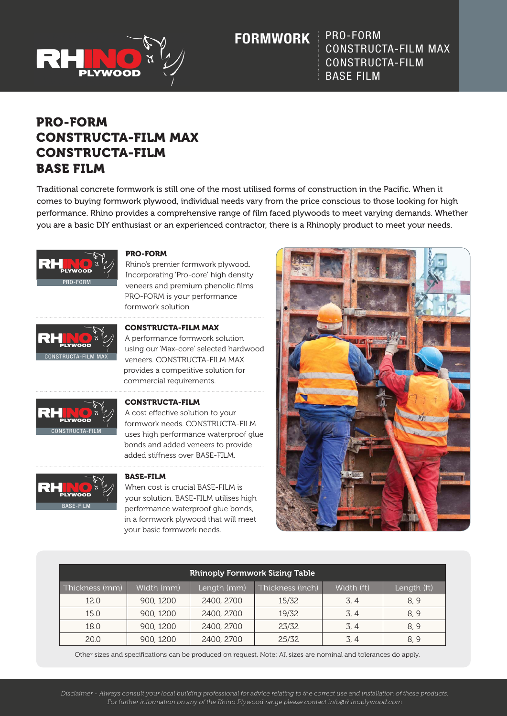

**FORMWORK**

PRO-FORM CONSTRUCTA-FILM MAX CONSTRUCTA-FILM BASE FILM

# PRO-FORM CONSTRUCTA-FILM MAX CONSTRUCTA-FILM BASE FILM

Traditional concrete formwork is still one of the most utilised forms of construction in the Pacific. When it comes to buying formwork plywood, individual needs vary from the price conscious to those looking for high performance. Rhino provides a comprehensive range of film faced plywoods to meet varying demands. Whether you are a basic DIY enthusiast or an experienced contractor, there is a Rhinoply product to meet your needs.



## PRO-FORM

Rhino's premier formwork plywood. Incorporating 'Pro-core' high density veneers and premium phenolic films PRO-FORM is your performance formwork solution



#### CONSTRUCTA-FILM MAX

A performance formwork solution using our 'Max-core' selected hardwood veneers. CONSTRUCTA-FILM MAX provides a competitive solution for commercial requirements.



### CONSTRUCTA-FILM

A cost effective solution to your formwork needs. CONSTRUCTA-FILM uses high performance waterproof glue bonds and added veneers to provide added stiffness over BASE-FILM.



#### BASE-FILM

When cost is crucial BASE-FILM is your solution. BASE-FILM utilises high performance waterproof glue bonds, in a formwork plywood that will meet your basic formwork needs.



| <b>Rhinoply Formwork Sizing Table</b> |            |             |                  |            |             |
|---------------------------------------|------------|-------------|------------------|------------|-------------|
| Thickness (mm)                        | Width (mm) | Length (mm) | Thickness (inch) | Width (ft) | Length (ft) |
| 12.0                                  | 900, 1200  | 2400, 2700  | 15/32            | 3, 4       | 8.9         |
| 15.0                                  | 900, 1200  | 2400, 2700  | 19/32            | 3, 4       | 8, 9        |
| 18.0                                  | 900, 1200  | 2400, 2700  | 23/32            | 3, 4       | 8, 9        |
| 20.0                                  | 900, 1200  | 2400, 2700  | 25/32            | 3, 4       | 8,9         |

Other sizes and specifications can be produced on request. Note: All sizes are nominal and tolerances do apply.